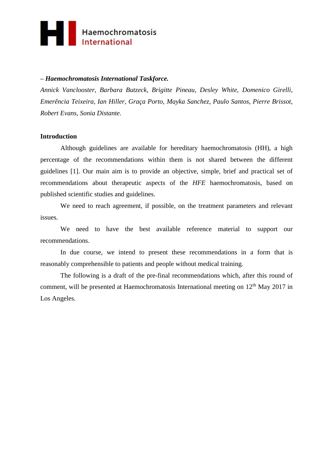

## **–** *Haemochromatosis International Taskforce.*

*Annick Vanclooster, Barbara Butzeck, Brigitte Pineau, Desley White, Domenico Girelli, Emerência Teixeira, Ian Hiller, Graça Porto, Mayka Sanchez, Paulo Santos, Pierre Brissot, Robert Evans, Sonia Distante.*

#### **Introduction**

Although guidelines are available for hereditary haemochromatosis (HH), a high percentage of the recommendations within them is not shared between the different guidelines [1]. Our main aim is to provide an objective, simple, brief and practical set of recommendations about therapeutic aspects of the *HFE* haemochromatosis, based on published scientific studies and guidelines.

We need to reach agreement, if possible, on the treatment parameters and relevant issues.

We need to have the best available reference material to support our recommendations.

In due course, we intend to present these recommendations in a form that is reasonably comprehensible to patients and people without medical training.

The following is a draft of the pre-final recommendations which, after this round of comment, will be presented at Haemochromatosis International meeting on  $12<sup>th</sup>$  May 2017 in Los Angeles.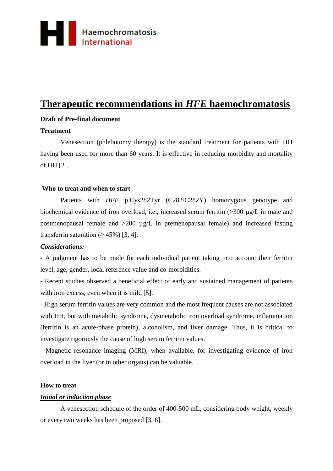

# **Therapeutic recommendations in** *HFE* **haemochromatosis**

# **Draft of Pre-final document**

## **Treatment**

Venesection (phlebotomy therapy) is the standard treatment for patients with HH having been used for more than 60 years. It is effective in reducing morbidity and mortality of HH [2]*.*

### **Who to treat and when to start**

Patients with *HFE* p.Cys282Tyr (C282/C282Y) homozygous genotype and biochemical evidence of iron overload, i.e., increased serum ferritin (>300 µg/L in male and postmenopausal female and >200 µg/L in premenopausal female) and increased fasting transferrin saturation ( $\geq$  45%) [3, 4].

#### *Considerations:*

- A judgment has to be made for each individual patient taking into account their ferritin level, age, gender, local reference value and co-morbidities.

- Recent studies observed a beneficial effect of early and sustained management of patients with iron excess, even when it is mild [5].

- High serum ferritin values are very common and the most frequent causes are not associated with HH, but with metabolic syndrome, dysmetabolic iron overload syndrome, inflammation (ferritin is an acute-phase protein), alcoholism, and liver damage. Thus, it is critical to investigate rigorously the cause of high serum ferritin values.

- Magnetic resonance imaging (MRI), when available, for investigating evidence of iron overload in the liver (or in other organs) can be valuable.

#### **How to treat**

## *Initial or induction phase*

A venesection schedule of the order of 400-500 mL, considering body weight, weekly or every two weeks has been proposed [3, 6].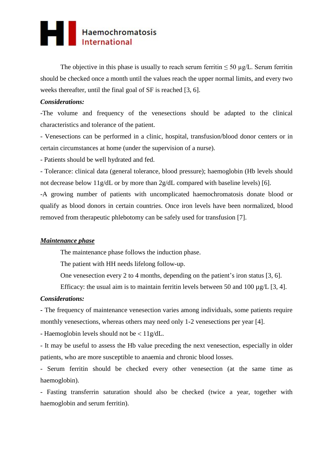

The objective in this phase is usually to reach serum ferritin  $\leq 50 \mu g/L$ . Serum ferritin should be checked once a month until the values reach the upper normal limits, and every two weeks thereafter, until the final goal of SF is reached [3, 6].

### *Considerations:*

-The volume and frequency of the venesections should be adapted to the clinical characteristics and tolerance of the patient.

- Venesections can be performed in a clinic, hospital, transfusion/blood donor centers or in certain circumstances at home (under the supervision of a nurse).

- Patients should be well hydrated and fed.

- Tolerance: clinical data (general tolerance, blood pressure); haemoglobin (Hb levels should not decrease below 11g/dL or by more than 2g/dL compared with baseline levels) [6].

-A growing number of patients with uncomplicated haemochromatosis donate blood or qualify as blood donors in certain countries. Once iron levels have been normalized, blood removed from therapeutic phlebotomy can be safely used for transfusion [7].

## *Maintenance phase*

The maintenance phase follows the induction phase.

The patient with HH needs lifelong follow-up.

One venesection every 2 to 4 months, depending on the patient's iron status [3, 6].

Efficacy: the usual aim is to maintain ferritin levels between 50 and 100  $\mu$ g/L [3, 4].

### *Considerations:*

**-** The frequency of maintenance venesection varies among individuals, some patients require monthly venesections, whereas others may need only 1-2 venesections per year [4].

- Haemoglobin levels should not be  $\langle 11g/dL.$ 

- It may be useful to assess the Hb value preceding the next venesection, especially in older patients, who are more susceptible to anaemia and chronic blood losses.

- Serum ferritin should be checked every other venesection (at the same time as haemoglobin).

- Fasting transferrin saturation should also be checked (twice a year, together with haemoglobin and serum ferritin).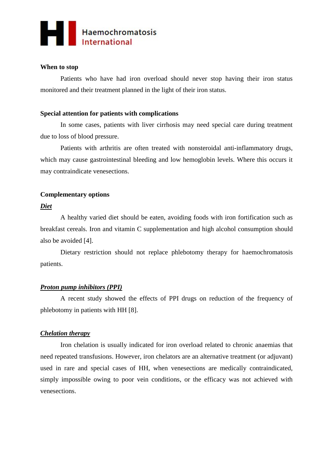

# **When to stop**

Patients who have had iron overload should never stop having their iron status monitored and their treatment planned in the light of their iron status.

# **Special attention for patients with complications**

In some cases, patients with liver cirrhosis may need special care during treatment due to loss of blood pressure.

Patients with arthritis are often treated with nonsteroidal anti-inflammatory drugs, which may cause gastrointestinal bleeding and low hemoglobin levels. Where this occurs it may contraindicate venesections.

# **Complementary options**

## *Diet*

A healthy varied diet should be eaten, avoiding foods with iron fortification such as breakfast cereals. Iron and vitamin C supplementation and high alcohol consumption should also be avoided [4].

Dietary restriction should not replace phlebotomy therapy for haemochromatosis patients.

# *Proton pump inhibitors (PPI)*

A recent study showed the effects of PPI drugs on reduction of the frequency of phlebotomy in patients with HH [8].

## *Chelation therapy*

Iron chelation is usually indicated for iron overload related to chronic anaemias that need repeated transfusions. However, iron chelators are an alternative treatment (or adjuvant) used in rare and special cases of HH, when venesections are medically contraindicated, simply impossible owing to poor vein conditions, or the efficacy was not achieved with venesections.